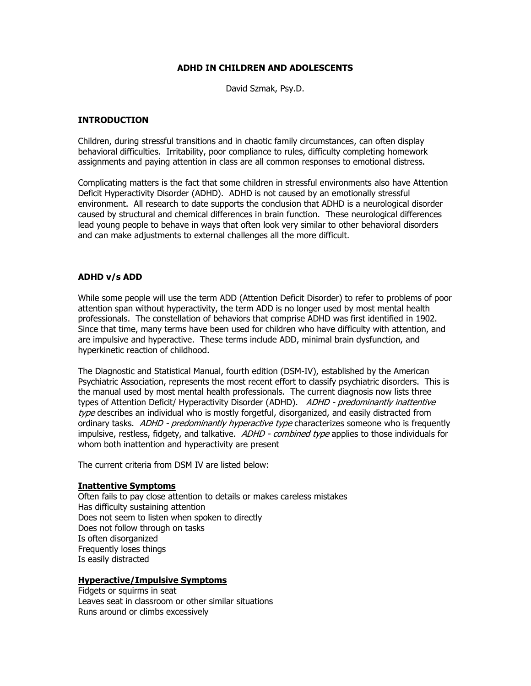## **ADHD IN CHILDREN AND ADOLESCENTS**

David Szmak, Psy.D.

## **INTRODUCTION**

Children, during stressful transitions and in chaotic family circumstances, can often display behavioral difficulties. Irritability, poor compliance to rules, difficulty completing homework assignments and paying attention in class are all common responses to emotional distress.

Complicating matters is the fact that some children in stressful environments also have Attention Deficit Hyperactivity Disorder (ADHD). ADHD is not caused by an emotionally stressful environment. All research to date supports the conclusion that ADHD is a neurological disorder caused by structural and chemical differences in brain function. These neurological differences lead young people to behave in ways that often look very similar to other behavioral disorders and can make adjustments to external challenges all the more difficult.

## **ADHD v/s ADD**

While some people will use the term ADD (Attention Deficit Disorder) to refer to problems of poor attention span without hyperactivity, the term ADD is no longer used by most mental health professionals. The constellation of behaviors that comprise ADHD was first identified in 1902. Since that time, many terms have been used for children who have difficulty with attention, and are impulsive and hyperactive. These terms include ADD, minimal brain dysfunction, and hyperkinetic reaction of childhood.

The Diagnostic and Statistical Manual, fourth edition (DSM-IV), established by the American Psychiatric Association, represents the most recent effort to classify psychiatric disorders. This is the manual used by most mental health professionals. The current diagnosis now lists three types of Attention Deficit/ Hyperactivity Disorder (ADHD). ADHD - predominantly inattentive type describes an individual who is mostly forgetful, disorganized, and easily distracted from ordinary tasks. ADHD - predominantly hyperactive type characterizes someone who is frequently impulsive, restless, fidgety, and talkative. ADHD - combined type applies to those individuals for whom both inattention and hyperactivity are present

The current criteria from DSM IV are listed below:

#### **Inattentive Symptoms**

Often fails to pay close attention to details or makes careless mistakes Has difficulty sustaining attention Does not seem to listen when spoken to directly Does not follow through on tasks Is often disorganized Frequently loses things Is easily distracted

#### **Hyperactive/Impulsive Symptoms**

Fidgets or squirms in seat Leaves seat in classroom or other similar situations Runs around or climbs excessively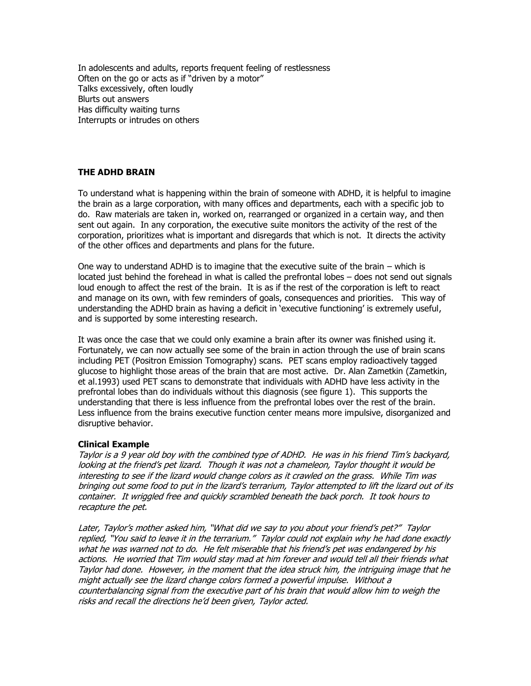In adolescents and adults, reports frequent feeling of restlessness Often on the go or acts as if "driven by a motor" Talks excessively, often loudly Blurts out answers Has difficulty waiting turns Interrupts or intrudes on others

# **THE ADHD BRAIN**

To understand what is happening within the brain of someone with ADHD, it is helpful to imagine the brain as a large corporation, with many offices and departments, each with a specific job to do. Raw materials are taken in, worked on, rearranged or organized in a certain way, and then sent out again. In any corporation, the executive suite monitors the activity of the rest of the corporation, prioritizes what is important and disregards that which is not. It directs the activity of the other offices and departments and plans for the future.

One way to understand ADHD is to imagine that the executive suite of the brain – which is located just behind the forehead in what is called the prefrontal lobes – does not send out signals loud enough to affect the rest of the brain. It is as if the rest of the corporation is left to react and manage on its own, with few reminders of goals, consequences and priorities. This way of understanding the ADHD brain as having a deficit in 'executive functioning' is extremely useful, and is supported by some interesting research.

It was once the case that we could only examine a brain after its owner was finished using it. Fortunately, we can now actually see some of the brain in action through the use of brain scans including PET (Positron Emission Tomography) scans. PET scans employ radioactively tagged glucose to highlight those areas of the brain that are most active. Dr. Alan Zametkin (Zametkin, et al.1993) used PET scans to demonstrate that individuals with ADHD have less activity in the prefrontal lobes than do individuals without this diagnosis (see figure 1). This supports the understanding that there is less influence from the prefrontal lobes over the rest of the brain. Less influence from the brains executive function center means more impulsive, disorganized and disruptive behavior.

#### **Clinical Example**

Taylor is a 9 year old boy with the combined type of ADHD. He was in his friend Tim"s backyard, looking at the friend"s pet lizard. Though it was not a chameleon, Taylor thought it would be interesting to see if the lizard would change colors as it crawled on the grass. While Tim was bringing out some food to put in the lizard"s terrarium, Taylor attempted to lift the lizard out of its container. It wriggled free and quickly scrambled beneath the back porch. It took hours to recapture the pet.

Later, Taylor's mother asked him, "What did we say to you about your friend's pet?" Taylor replied, "You said to leave it in the terrarium." Taylor could not explain why he had done exactly what he was warned not to do. He felt miserable that his friend"s pet was endangered by his actions. He worried that Tim would stay mad at him forever and would tell all their friends what Taylor had done. However, in the moment that the idea struck him, the intriguing image that he might actually see the lizard change colors formed a powerful impulse. Without a counterbalancing signal from the executive part of his brain that would allow him to weigh the risks and recall the directions he"d been given, Taylor acted.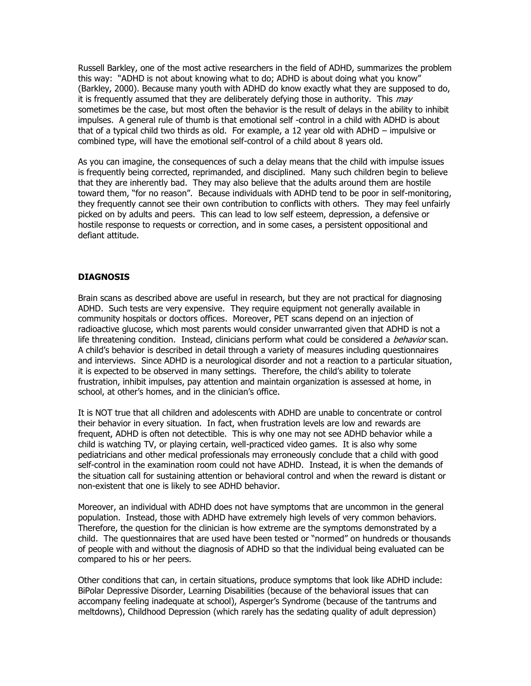Russell Barkley, one of the most active researchers in the field of ADHD, summarizes the problem this way: "ADHD is not about knowing what to do; ADHD is about doing what you know" (Barkley, 2000). Because many youth with ADHD do know exactly what they are supposed to do, it is frequently assumed that they are deliberately defying those in authority. This may sometimes be the case, but most often the behavior is the result of delays in the ability to inhibit impulses. A general rule of thumb is that emotional self -control in a child with ADHD is about that of a typical child two thirds as old. For example, a 12 year old with ADHD – impulsive or combined type, will have the emotional self-control of a child about 8 years old.

As you can imagine, the consequences of such a delay means that the child with impulse issues is frequently being corrected, reprimanded, and disciplined. Many such children begin to believe that they are inherently bad. They may also believe that the adults around them are hostile toward them, "for no reason". Because individuals with ADHD tend to be poor in self-monitoring, they frequently cannot see their own contribution to conflicts with others. They may feel unfairly picked on by adults and peers. This can lead to low self esteem, depression, a defensive or hostile response to requests or correction, and in some cases, a persistent oppositional and defiant attitude.

# **DIAGNOSIS**

Brain scans as described above are useful in research, but they are not practical for diagnosing ADHD. Such tests are very expensive. They require equipment not generally available in community hospitals or doctors offices. Moreover, PET scans depend on an injection of radioactive glucose, which most parents would consider unwarranted given that ADHD is not a life threatening condition. Instead, clinicians perform what could be considered a *behavior* scan. A child"s behavior is described in detail through a variety of measures including questionnaires and interviews. Since ADHD is a neurological disorder and not a reaction to a particular situation, it is expected to be observed in many settings. Therefore, the child's ability to tolerate frustration, inhibit impulses, pay attention and maintain organization is assessed at home, in school, at other's homes, and in the clinician's office.

It is NOT true that all children and adolescents with ADHD are unable to concentrate or control their behavior in every situation. In fact, when frustration levels are low and rewards are frequent, ADHD is often not detectible. This is why one may not see ADHD behavior while a child is watching TV, or playing certain, well-practiced video games. It is also why some pediatricians and other medical professionals may erroneously conclude that a child with good self-control in the examination room could not have ADHD. Instead, it is when the demands of the situation call for sustaining attention or behavioral control and when the reward is distant or non-existent that one is likely to see ADHD behavior.

Moreover, an individual with ADHD does not have symptoms that are uncommon in the general population. Instead, those with ADHD have extremely high levels of very common behaviors. Therefore, the question for the clinician is how extreme are the symptoms demonstrated by a child. The questionnaires that are used have been tested or "normed" on hundreds or thousands of people with and without the diagnosis of ADHD so that the individual being evaluated can be compared to his or her peers.

Other conditions that can, in certain situations, produce symptoms that look like ADHD include: BiPolar Depressive Disorder, Learning Disabilities (because of the behavioral issues that can accompany feeling inadequate at school), Asperger"s Syndrome (because of the tantrums and meltdowns), Childhood Depression (which rarely has the sedating quality of adult depression)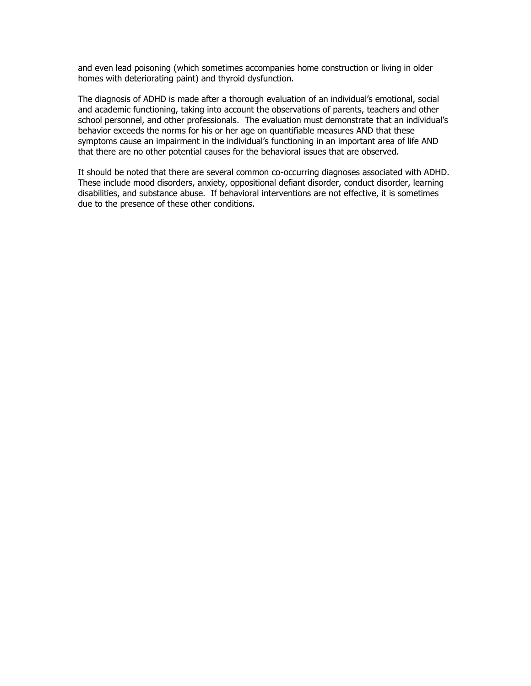and even lead poisoning (which sometimes accompanies home construction or living in older homes with deteriorating paint) and thyroid dysfunction.

The diagnosis of ADHD is made after a thorough evaluation of an individual's emotional, social and academic functioning, taking into account the observations of parents, teachers and other school personnel, and other professionals. The evaluation must demonstrate that an individual's behavior exceeds the norms for his or her age on quantifiable measures AND that these symptoms cause an impairment in the individual"s functioning in an important area of life AND that there are no other potential causes for the behavioral issues that are observed.

It should be noted that there are several common co-occurring diagnoses associated with ADHD. These include mood disorders, anxiety, oppositional defiant disorder, conduct disorder, learning disabilities, and substance abuse. If behavioral interventions are not effective, it is sometimes due to the presence of these other conditions.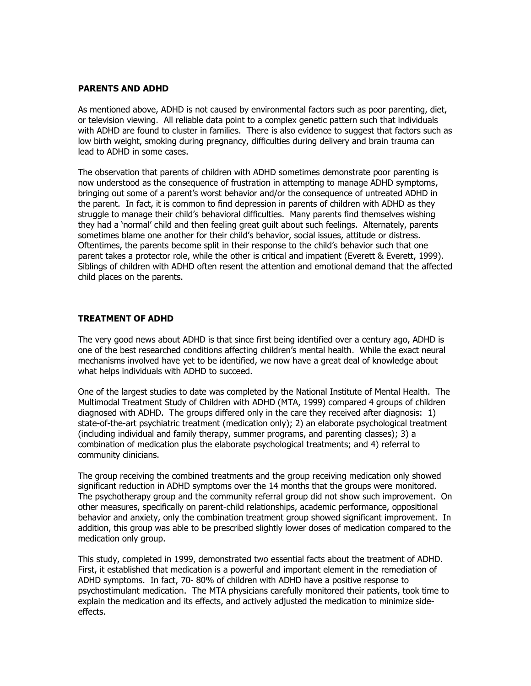### **PARENTS AND ADHD**

As mentioned above, ADHD is not caused by environmental factors such as poor parenting, diet, or television viewing. All reliable data point to a complex genetic pattern such that individuals with ADHD are found to cluster in families. There is also evidence to suggest that factors such as low birth weight, smoking during pregnancy, difficulties during delivery and brain trauma can lead to ADHD in some cases.

The observation that parents of children with ADHD sometimes demonstrate poor parenting is now understood as the consequence of frustration in attempting to manage ADHD symptoms, bringing out some of a parent"s worst behavior and/or the consequence of untreated ADHD in the parent. In fact, it is common to find depression in parents of children with ADHD as they struggle to manage their child"s behavioral difficulties. Many parents find themselves wishing they had a "normal" child and then feeling great guilt about such feelings. Alternately, parents sometimes blame one another for their child"s behavior, social issues, attitude or distress. Oftentimes, the parents become split in their response to the child"s behavior such that one parent takes a protector role, while the other is critical and impatient (Everett & Everett, 1999). Siblings of children with ADHD often resent the attention and emotional demand that the affected child places on the parents.

# **TREATMENT OF ADHD**

The very good news about ADHD is that since first being identified over a century ago, ADHD is one of the best researched conditions affecting children"s mental health. While the exact neural mechanisms involved have yet to be identified, we now have a great deal of knowledge about what helps individuals with ADHD to succeed.

One of the largest studies to date was completed by the National Institute of Mental Health. The Multimodal Treatment Study of Children with ADHD (MTA, 1999) compared 4 groups of children diagnosed with ADHD. The groups differed only in the care they received after diagnosis: 1) state-of-the-art psychiatric treatment (medication only); 2) an elaborate psychological treatment (including individual and family therapy, summer programs, and parenting classes); 3) a combination of medication plus the elaborate psychological treatments; and 4) referral to community clinicians.

The group receiving the combined treatments and the group receiving medication only showed significant reduction in ADHD symptoms over the 14 months that the groups were monitored. The psychotherapy group and the community referral group did not show such improvement. On other measures, specifically on parent-child relationships, academic performance, oppositional behavior and anxiety, only the combination treatment group showed significant improvement. In addition, this group was able to be prescribed slightly lower doses of medication compared to the medication only group.

This study, completed in 1999, demonstrated two essential facts about the treatment of ADHD. First, it established that medication is a powerful and important element in the remediation of ADHD symptoms. In fact, 70- 80% of children with ADHD have a positive response to psychostimulant medication. The MTA physicians carefully monitored their patients, took time to explain the medication and its effects, and actively adjusted the medication to minimize sideeffects.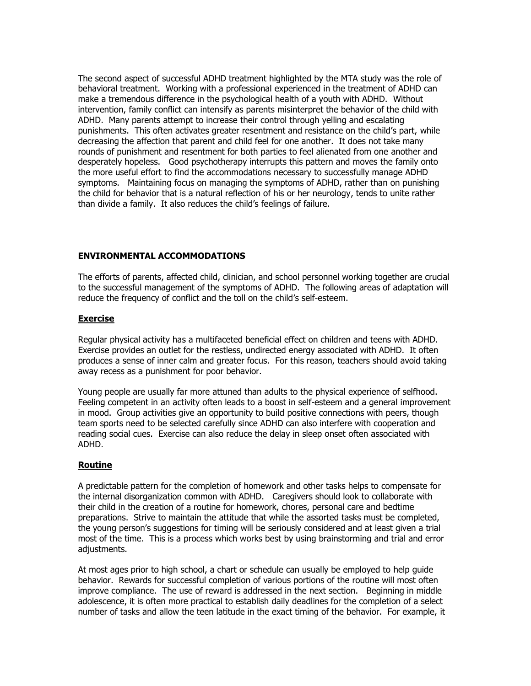The second aspect of successful ADHD treatment highlighted by the MTA study was the role of behavioral treatment. Working with a professional experienced in the treatment of ADHD can make a tremendous difference in the psychological health of a youth with ADHD. Without intervention, family conflict can intensify as parents misinterpret the behavior of the child with ADHD. Many parents attempt to increase their control through yelling and escalating punishments. This often activates greater resentment and resistance on the child"s part, while decreasing the affection that parent and child feel for one another. It does not take many rounds of punishment and resentment for both parties to feel alienated from one another and desperately hopeless. Good psychotherapy interrupts this pattern and moves the family onto the more useful effort to find the accommodations necessary to successfully manage ADHD symptoms. Maintaining focus on managing the symptoms of ADHD, rather than on punishing the child for behavior that is a natural reflection of his or her neurology, tends to unite rather than divide a family. It also reduces the child"s feelings of failure.

## **ENVIRONMENTAL ACCOMMODATIONS**

The efforts of parents, affected child, clinician, and school personnel working together are crucial to the successful management of the symptoms of ADHD. The following areas of adaptation will reduce the frequency of conflict and the toll on the child"s self-esteem.

## **Exercise**

Regular physical activity has a multifaceted beneficial effect on children and teens with ADHD. Exercise provides an outlet for the restless, undirected energy associated with ADHD. It often produces a sense of inner calm and greater focus. For this reason, teachers should avoid taking away recess as a punishment for poor behavior.

Young people are usually far more attuned than adults to the physical experience of selfhood. Feeling competent in an activity often leads to a boost in self-esteem and a general improvement in mood. Group activities give an opportunity to build positive connections with peers, though team sports need to be selected carefully since ADHD can also interfere with cooperation and reading social cues. Exercise can also reduce the delay in sleep onset often associated with ADHD.

# **Routine**

A predictable pattern for the completion of homework and other tasks helps to compensate for the internal disorganization common with ADHD. Caregivers should look to collaborate with their child in the creation of a routine for homework, chores, personal care and bedtime preparations. Strive to maintain the attitude that while the assorted tasks must be completed, the young person"s suggestions for timing will be seriously considered and at least given a trial most of the time. This is a process which works best by using brainstorming and trial and error adjustments.

At most ages prior to high school, a chart or schedule can usually be employed to help guide behavior. Rewards for successful completion of various portions of the routine will most often improve compliance. The use of reward is addressed in the next section. Beginning in middle adolescence, it is often more practical to establish daily deadlines for the completion of a select number of tasks and allow the teen latitude in the exact timing of the behavior. For example, it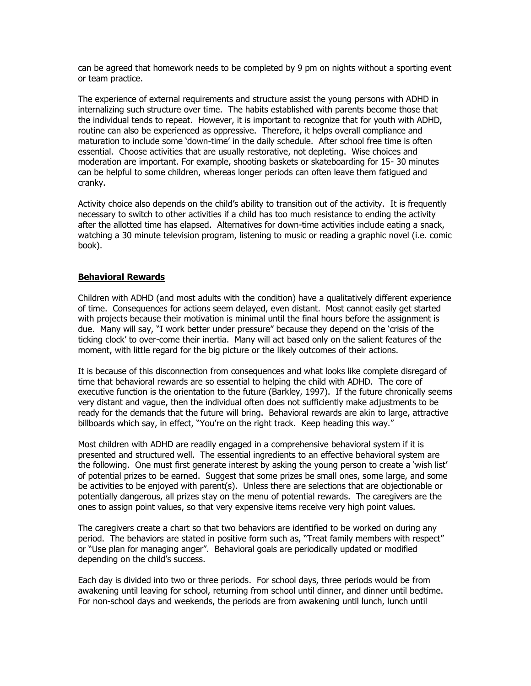can be agreed that homework needs to be completed by 9 pm on nights without a sporting event or team practice.

The experience of external requirements and structure assist the young persons with ADHD in internalizing such structure over time. The habits established with parents become those that the individual tends to repeat. However, it is important to recognize that for youth with ADHD, routine can also be experienced as oppressive. Therefore, it helps overall compliance and maturation to include some "down-time" in the daily schedule. After school free time is often essential. Choose activities that are usually restorative, not depleting. Wise choices and moderation are important. For example, shooting baskets or skateboarding for 15- 30 minutes can be helpful to some children, whereas longer periods can often leave them fatigued and cranky.

Activity choice also depends on the child"s ability to transition out of the activity. It is frequently necessary to switch to other activities if a child has too much resistance to ending the activity after the allotted time has elapsed. Alternatives for down-time activities include eating a snack, watching a 30 minute television program, listening to music or reading a graphic novel (i.e. comic book).

## **Behavioral Rewards**

Children with ADHD (and most adults with the condition) have a qualitatively different experience of time. Consequences for actions seem delayed, even distant. Most cannot easily get started with projects because their motivation is minimal until the final hours before the assignment is due. Many will say, "I work better under pressure" because they depend on the 'crisis of the ticking clock" to over-come their inertia. Many will act based only on the salient features of the moment, with little regard for the big picture or the likely outcomes of their actions.

It is because of this disconnection from consequences and what looks like complete disregard of time that behavioral rewards are so essential to helping the child with ADHD. The core of executive function is the orientation to the future (Barkley, 1997). If the future chronically seems very distant and vague, then the individual often does not sufficiently make adjustments to be ready for the demands that the future will bring. Behavioral rewards are akin to large, attractive billboards which say, in effect, "You're on the right track. Keep heading this way."

Most children with ADHD are readily engaged in a comprehensive behavioral system if it is presented and structured well. The essential ingredients to an effective behavioral system are the following. One must first generate interest by asking the young person to create a "wish list" of potential prizes to be earned. Suggest that some prizes be small ones, some large, and some be activities to be enjoyed with parent(s). Unless there are selections that are objectionable or potentially dangerous, all prizes stay on the menu of potential rewards. The caregivers are the ones to assign point values, so that very expensive items receive very high point values.

The caregivers create a chart so that two behaviors are identified to be worked on during any period. The behaviors are stated in positive form such as, "Treat family members with respect" or "Use plan for managing anger". Behavioral goals are periodically updated or modified depending on the child"s success.

Each day is divided into two or three periods. For school days, three periods would be from awakening until leaving for school, returning from school until dinner, and dinner until bedtime. For non-school days and weekends, the periods are from awakening until lunch, lunch until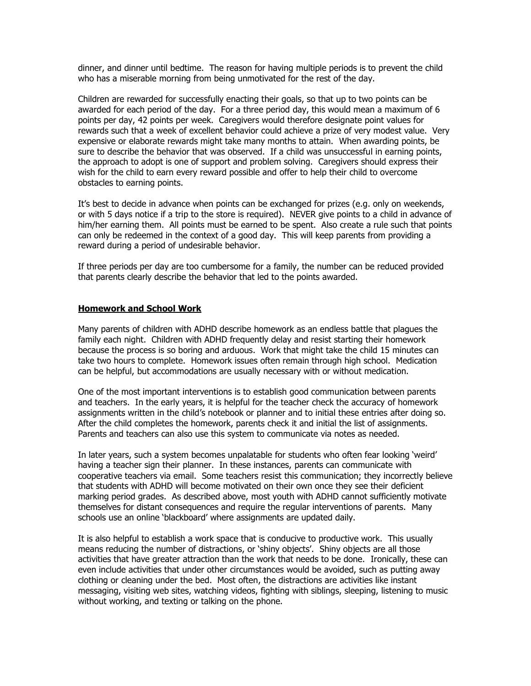dinner, and dinner until bedtime. The reason for having multiple periods is to prevent the child who has a miserable morning from being unmotivated for the rest of the day.

Children are rewarded for successfully enacting their goals, so that up to two points can be awarded for each period of the day. For a three period day, this would mean a maximum of 6 points per day, 42 points per week. Caregivers would therefore designate point values for rewards such that a week of excellent behavior could achieve a prize of very modest value. Very expensive or elaborate rewards might take many months to attain. When awarding points, be sure to describe the behavior that was observed. If a child was unsuccessful in earning points, the approach to adopt is one of support and problem solving. Caregivers should express their wish for the child to earn every reward possible and offer to help their child to overcome obstacles to earning points.

It's best to decide in advance when points can be exchanged for prizes (e.g. only on weekends, or with 5 days notice if a trip to the store is required). NEVER give points to a child in advance of him/her earning them. All points must be earned to be spent. Also create a rule such that points can only be redeemed in the context of a good day. This will keep parents from providing a reward during a period of undesirable behavior.

If three periods per day are too cumbersome for a family, the number can be reduced provided that parents clearly describe the behavior that led to the points awarded.

#### **Homework and School Work**

Many parents of children with ADHD describe homework as an endless battle that plagues the family each night. Children with ADHD frequently delay and resist starting their homework because the process is so boring and arduous. Work that might take the child 15 minutes can take two hours to complete. Homework issues often remain through high school. Medication can be helpful, but accommodations are usually necessary with or without medication.

One of the most important interventions is to establish good communication between parents and teachers. In the early years, it is helpful for the teacher check the accuracy of homework assignments written in the child"s notebook or planner and to initial these entries after doing so. After the child completes the homework, parents check it and initial the list of assignments. Parents and teachers can also use this system to communicate via notes as needed.

In later years, such a system becomes unpalatable for students who often fear looking "weird" having a teacher sign their planner. In these instances, parents can communicate with cooperative teachers via email. Some teachers resist this communication; they incorrectly believe that students with ADHD will become motivated on their own once they see their deficient marking period grades. As described above, most youth with ADHD cannot sufficiently motivate themselves for distant consequences and require the regular interventions of parents. Many schools use an online "blackboard" where assignments are updated daily.

It is also helpful to establish a work space that is conducive to productive work. This usually means reducing the number of distractions, or 'shiny objects'. Shiny objects are all those activities that have greater attraction than the work that needs to be done. Ironically, these can even include activities that under other circumstances would be avoided, such as putting away clothing or cleaning under the bed. Most often, the distractions are activities like instant messaging, visiting web sites, watching videos, fighting with siblings, sleeping, listening to music without working, and texting or talking on the phone.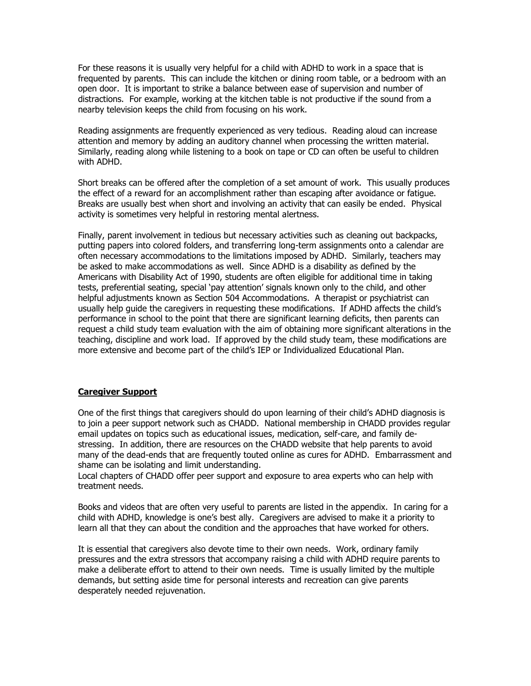For these reasons it is usually very helpful for a child with ADHD to work in a space that is frequented by parents. This can include the kitchen or dining room table, or a bedroom with an open door. It is important to strike a balance between ease of supervision and number of distractions. For example, working at the kitchen table is not productive if the sound from a nearby television keeps the child from focusing on his work.

Reading assignments are frequently experienced as very tedious. Reading aloud can increase attention and memory by adding an auditory channel when processing the written material. Similarly, reading along while listening to a book on tape or CD can often be useful to children with ADHD.

Short breaks can be offered after the completion of a set amount of work. This usually produces the effect of a reward for an accomplishment rather than escaping after avoidance or fatigue. Breaks are usually best when short and involving an activity that can easily be ended. Physical activity is sometimes very helpful in restoring mental alertness.

Finally, parent involvement in tedious but necessary activities such as cleaning out backpacks, putting papers into colored folders, and transferring long-term assignments onto a calendar are often necessary accommodations to the limitations imposed by ADHD. Similarly, teachers may be asked to make accommodations as well. Since ADHD is a disability as defined by the Americans with Disability Act of 1990, students are often eligible for additional time in taking tests, preferential seating, special "pay attention" signals known only to the child, and other helpful adjustments known as Section 504 Accommodations. A therapist or psychiatrist can usually help guide the caregivers in requesting these modifications. If ADHD affects the child"s performance in school to the point that there are significant learning deficits, then parents can request a child study team evaluation with the aim of obtaining more significant alterations in the teaching, discipline and work load. If approved by the child study team, these modifications are more extensive and become part of the child"s IEP or Individualized Educational Plan.

# **Caregiver Support**

One of the first things that caregivers should do upon learning of their child"s ADHD diagnosis is to join a peer support network such as CHADD. National membership in CHADD provides regular email updates on topics such as educational issues, medication, self-care, and family destressing. In addition, there are resources on the CHADD website that help parents to avoid many of the dead-ends that are frequently touted online as cures for ADHD. Embarrassment and shame can be isolating and limit understanding.

Local chapters of CHADD offer peer support and exposure to area experts who can help with treatment needs.

Books and videos that are often very useful to parents are listed in the appendix. In caring for a child with ADHD, knowledge is one's best ally. Caregivers are advised to make it a priority to learn all that they can about the condition and the approaches that have worked for others.

It is essential that caregivers also devote time to their own needs. Work, ordinary family pressures and the extra stressors that accompany raising a child with ADHD require parents to make a deliberate effort to attend to their own needs. Time is usually limited by the multiple demands, but setting aside time for personal interests and recreation can give parents desperately needed rejuvenation.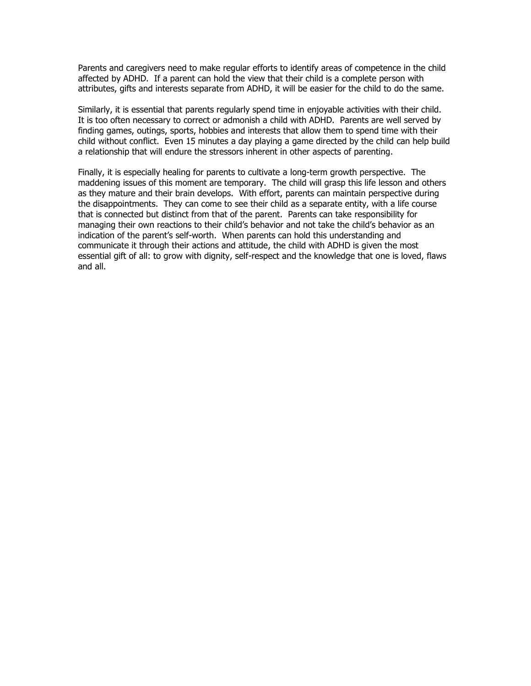Parents and caregivers need to make regular efforts to identify areas of competence in the child affected by ADHD. If a parent can hold the view that their child is a complete person with attributes, gifts and interests separate from ADHD, it will be easier for the child to do the same.

Similarly, it is essential that parents regularly spend time in enjoyable activities with their child. It is too often necessary to correct or admonish a child with ADHD. Parents are well served by finding games, outings, sports, hobbies and interests that allow them to spend time with their child without conflict. Even 15 minutes a day playing a game directed by the child can help build a relationship that will endure the stressors inherent in other aspects of parenting.

Finally, it is especially healing for parents to cultivate a long-term growth perspective. The maddening issues of this moment are temporary. The child will grasp this life lesson and others as they mature and their brain develops. With effort, parents can maintain perspective during the disappointments. They can come to see their child as a separate entity, with a life course that is connected but distinct from that of the parent. Parents can take responsibility for managing their own reactions to their child"s behavior and not take the child"s behavior as an indication of the parent's self-worth. When parents can hold this understanding and communicate it through their actions and attitude, the child with ADHD is given the most essential gift of all: to grow with dignity, self-respect and the knowledge that one is loved, flaws and all.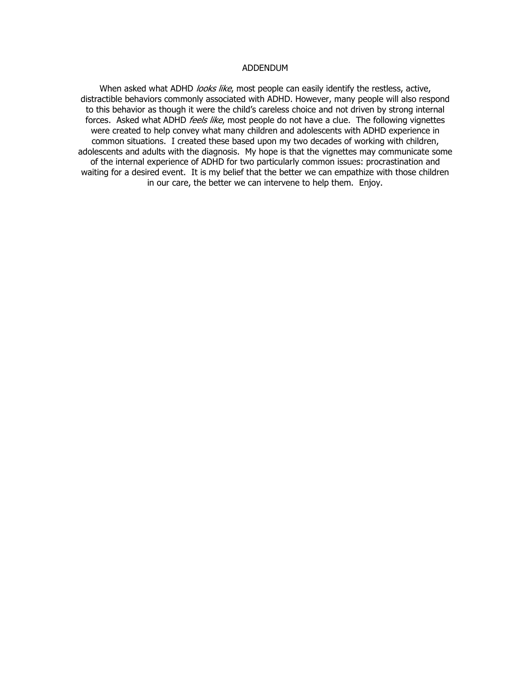#### ADDENDUM

When asked what ADHD looks like, most people can easily identify the restless, active, distractible behaviors commonly associated with ADHD. However, many people will also respond to this behavior as though it were the child"s careless choice and not driven by strong internal forces. Asked what ADHD feels like, most people do not have a clue. The following vignettes were created to help convey what many children and adolescents with ADHD experience in common situations. I created these based upon my two decades of working with children, adolescents and adults with the diagnosis. My hope is that the vignettes may communicate some of the internal experience of ADHD for two particularly common issues: procrastination and waiting for a desired event. It is my belief that the better we can empathize with those children in our care, the better we can intervene to help them. Enjoy.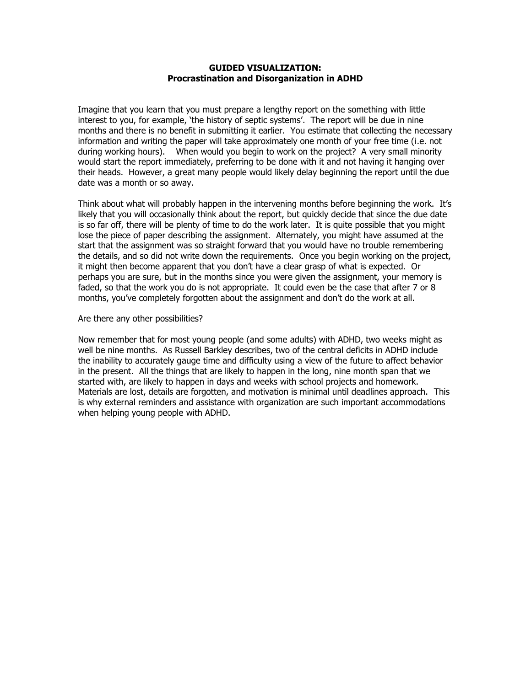### **GUIDED VISUALIZATION: Procrastination and Disorganization in ADHD**

Imagine that you learn that you must prepare a lengthy report on the something with little interest to you, for example, 'the history of septic systems'. The report will be due in nine months and there is no benefit in submitting it earlier. You estimate that collecting the necessary information and writing the paper will take approximately one month of your free time (i.e. not during working hours). When would you begin to work on the project? A very small minority would start the report immediately, preferring to be done with it and not having it hanging over their heads. However, a great many people would likely delay beginning the report until the due date was a month or so away.

Think about what will probably happen in the intervening months before beginning the work. It"s likely that you will occasionally think about the report, but quickly decide that since the due date is so far off, there will be plenty of time to do the work later. It is quite possible that you might lose the piece of paper describing the assignment. Alternately, you might have assumed at the start that the assignment was so straight forward that you would have no trouble remembering the details, and so did not write down the requirements. Once you begin working on the project, it might then become apparent that you don"t have a clear grasp of what is expected. Or perhaps you are sure, but in the months since you were given the assignment, your memory is faded, so that the work you do is not appropriate. It could even be the case that after 7 or 8 months, you"ve completely forgotten about the assignment and don"t do the work at all.

## Are there any other possibilities?

Now remember that for most young people (and some adults) with ADHD, two weeks might as well be nine months. As Russell Barkley describes, two of the central deficits in ADHD include the inability to accurately gauge time and difficulty using a view of the future to affect behavior in the present. All the things that are likely to happen in the long, nine month span that we started with, are likely to happen in days and weeks with school projects and homework. Materials are lost, details are forgotten, and motivation is minimal until deadlines approach. This is why external reminders and assistance with organization are such important accommodations when helping young people with ADHD.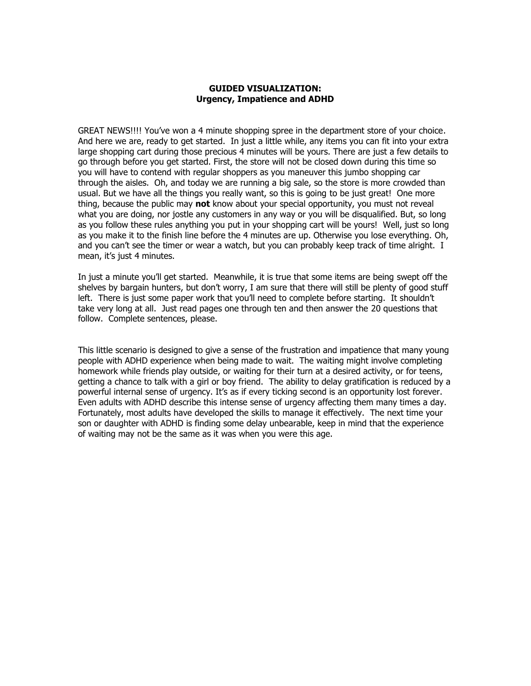## **GUIDED VISUALIZATION: Urgency, Impatience and ADHD**

GREAT NEWS!!!! You"ve won a 4 minute shopping spree in the department store of your choice. And here we are, ready to get started. In just a little while, any items you can fit into your extra large shopping cart during those precious 4 minutes will be yours. There are just a few details to go through before you get started. First, the store will not be closed down during this time so you will have to contend with regular shoppers as you maneuver this jumbo shopping car through the aisles. Oh, and today we are running a big sale, so the store is more crowded than usual. But we have all the things you really want, so this is going to be just great! One more thing, because the public may **not** know about your special opportunity, you must not reveal what you are doing, nor jostle any customers in any way or you will be disqualified. But, so long as you follow these rules anything you put in your shopping cart will be yours! Well, just so long as you make it to the finish line before the 4 minutes are up. Otherwise you lose everything. Oh, and you can"t see the timer or wear a watch, but you can probably keep track of time alright. I mean, it's just 4 minutes.

In just a minute you"ll get started. Meanwhile, it is true that some items are being swept off the shelves by bargain hunters, but don"t worry, I am sure that there will still be plenty of good stuff left. There is just some paper work that you'll need to complete before starting. It shouldn't take very long at all. Just read pages one through ten and then answer the 20 questions that follow. Complete sentences, please.

This little scenario is designed to give a sense of the frustration and impatience that many young people with ADHD experience when being made to wait. The waiting might involve completing homework while friends play outside, or waiting for their turn at a desired activity, or for teens, getting a chance to talk with a girl or boy friend. The ability to delay gratification is reduced by a powerful internal sense of urgency. It's as if every ticking second is an opportunity lost forever. Even adults with ADHD describe this intense sense of urgency affecting them many times a day. Fortunately, most adults have developed the skills to manage it effectively. The next time your son or daughter with ADHD is finding some delay unbearable, keep in mind that the experience of waiting may not be the same as it was when you were this age.